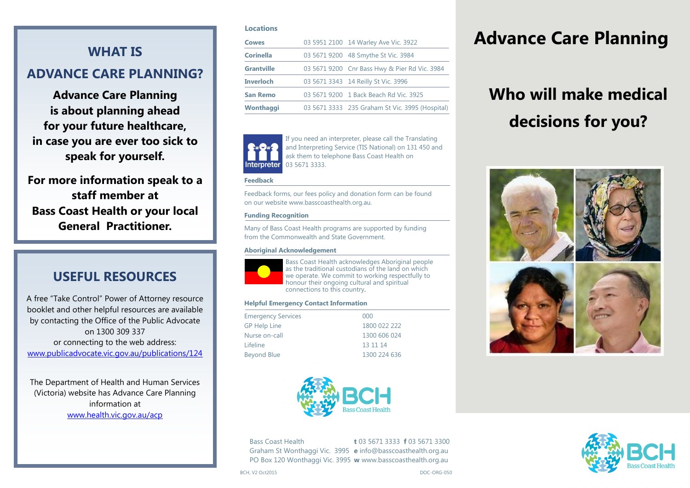## **WHAT IS ADVANCE CARE PLANNING?**

**Advance Care Planning is about planning ahead for your future healthcare, in case you are ever too sick to speak for yourself.**

**For more information speak to a staff member at Bass Coast Health or your local General Practitioner.** 

### **USEFUL RESOURCES**

A free "Take Control" Power of Attorney resource booklet and other helpful resources are available by contacting the Office of the Public Advocate on 1300 309 337 or connecting to the web address: www.publicadvocate.vic.gov.au/publications/124

The Department of Health and Human Services (Victoria) website has Advance Care Planning information at www.health.vic.gov.au/acp

### **Locations**

| <b>Cowes</b>      | 03 5951 2100 14 Warley Ave Vic. 3922            |
|-------------------|-------------------------------------------------|
| <b>Corinella</b>  | 03 5671 9200 48 Smythe St Vic. 3984             |
| <b>Grantville</b> | 03 5671 9200 Cnr Bass Hwy & Pier Rd Vic. 3984   |
| <b>Inverloch</b>  | 03 5671 3343 14 Reilly St Vic. 3996             |
| <b>San Remo</b>   | 03 5671 9200 1 Back Beach Rd Vic. 3925          |
| Wonthaggi         | 03 5671 3333 235 Graham St Vic. 3995 (Hospital) |



If you need an interpreter, please call the Translating and Interpreting Service (TIS National) on 131 450 and ask them to telephone Bass Coast Health on 03 5671 3333.

### **Feedback**

Feedback forms, our fees policy and donation form can be found on our website www.basscoasthealth.org.au.

### **Funding Recognition**

Many of Bass Coast Health programs are supported by funding from the Commonwealth and State Government.

### **Aboriginal Acknowledgement**



Bass Coast Health acknowledges Aboriginal people as the traditional custodians of the land on which we operate. We commit to working respectfully to honour their ongoing cultural and spiritual connections to this country.

### **Helpful Emergency Contact Information**

| <b>Emergency Services</b> | 000          |  |
|---------------------------|--------------|--|
| <b>GP Help Line</b>       | 1800 022 222 |  |
| Nurse on-call             | 1300 606 024 |  |
| Lifeline                  | 13 11 14     |  |
| <b>Beyond Blue</b>        | 1300 224 636 |  |
|                           |              |  |



Bass Coast Health **t** 03 5671 3333 **f** 03 5671 3300 Graham St Wonthaggi Vic. 3995 **e** info@basscoasthealth.org.au PO Box 120 Wonthaggi Vic. 3995 **w** www.basscoasthealth.org.au

## **Advance Care Planning**

# **Who will make medical decisions for you?**